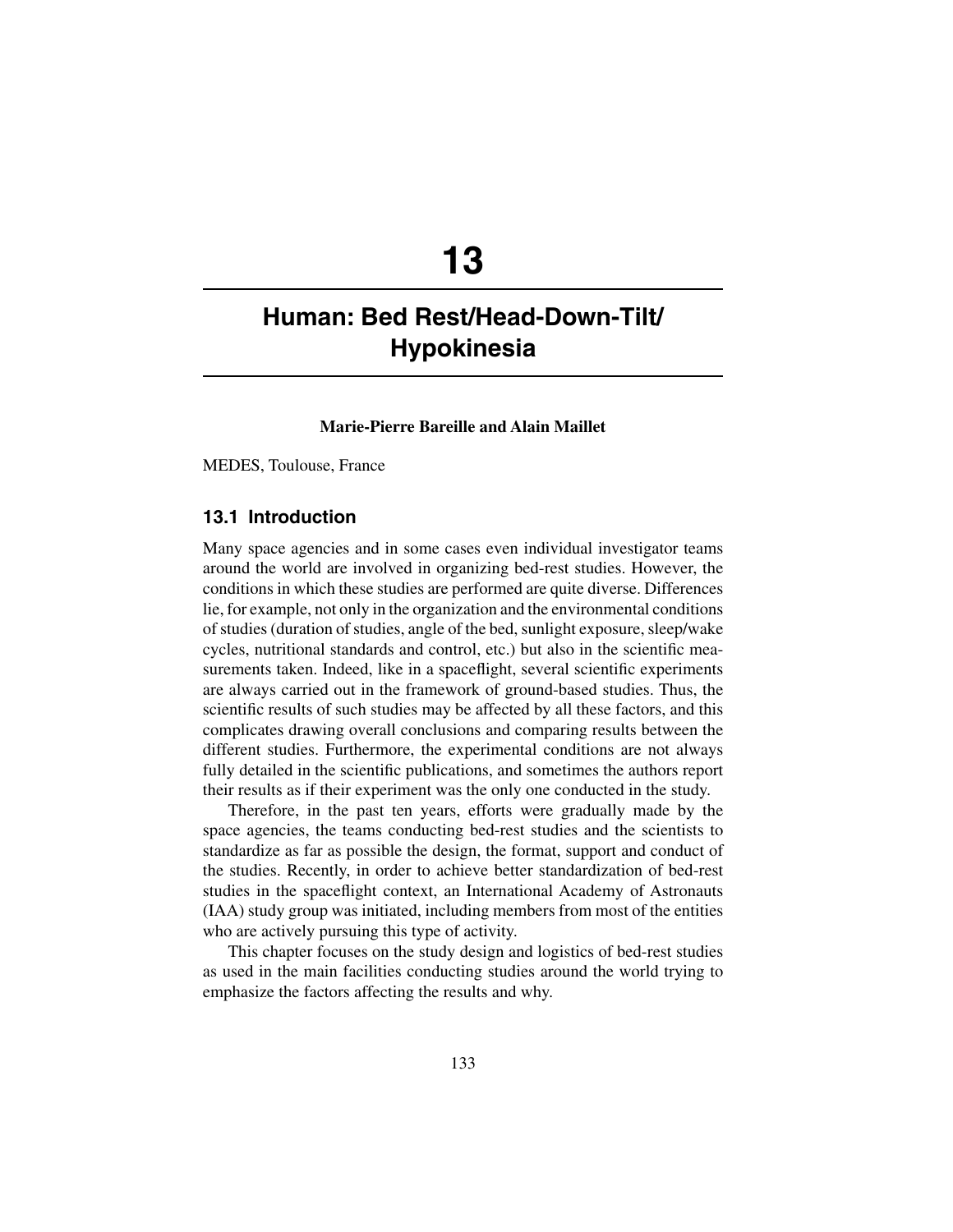# **13**

## **Human: Bed Rest/Head-Down-Tilt/ Hypokinesia**

### **Marie-Pierre Bareille and Alain Maillet**

MEDES, Toulouse, France

### **13.1 Introduction**

Many space agencies and in some cases even individual investigator teams around the world are involved in organizing bed-rest studies. However, the conditions in which these studies are performed are quite diverse. Differences lie, for example, not only in the organization and the environmental conditions of studies (duration of studies, angle of the bed, sunlight exposure, sleep/wake cycles, nutritional standards and control, etc.) but also in the scientific measurements taken. Indeed, like in a spaceflight, several scientific experiments are always carried out in the framework of ground-based studies. Thus, the scientific results of such studies may be affected by all these factors, and this complicates drawing overall conclusions and comparing results between the different studies. Furthermore, the experimental conditions are not always fully detailed in the scientific publications, and sometimes the authors report their results as if their experiment was the only one conducted in the study.

Therefore, in the past ten years, efforts were gradually made by the space agencies, the teams conducting bed-rest studies and the scientists to standardize as far as possible the design, the format, support and conduct of the studies. Recently, in order to achieve better standardization of bed-rest studies in the spaceflight context, an International Academy of Astronauts (IAA) study group was initiated, including members from most of the entities who are actively pursuing this type of activity.

This chapter focuses on the study design and logistics of bed-rest studies as used in the main facilities conducting studies around the world trying to emphasize the factors affecting the results and why.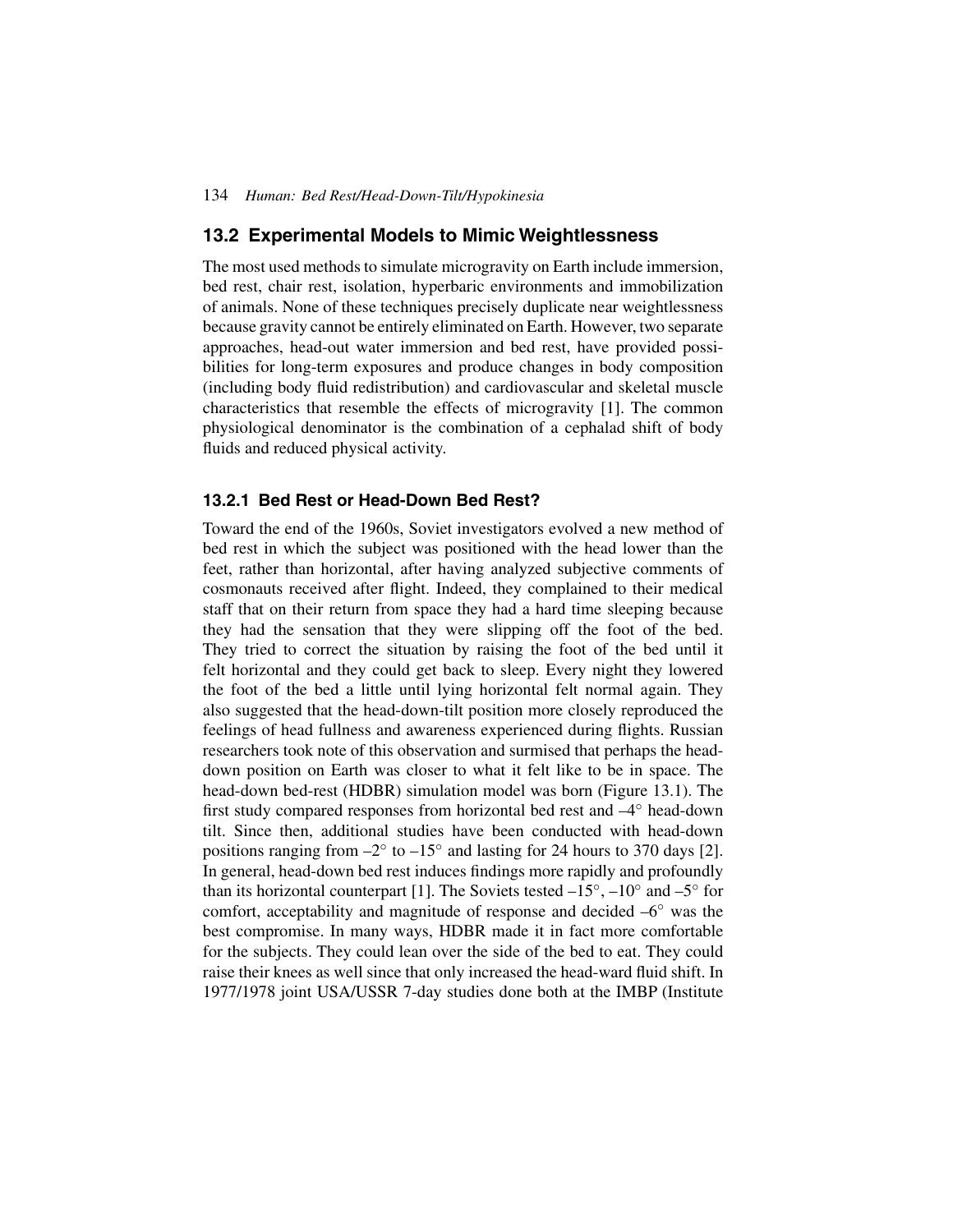### **13.2 Experimental Models to Mimic Weightlessness**

The most used methods to simulate microgravity on Earth include immersion, bed rest, chair rest, isolation, hyperbaric environments and immobilization of animals. None of these techniques precisely duplicate near weightlessness because gravity cannot be entirely eliminated on Earth. However, two separate approaches, head-out water immersion and bed rest, have provided possibilities for long-term exposures and produce changes in body composition (including body fluid redistribution) and cardiovascular and skeletal muscle characteristics that resemble the effects of microgravity [1]. The common physiological denominator is the combination of a cephalad shift of body fluids and reduced physical activity.

### **13.2.1 Bed Rest or Head-Down Bed Rest?**

Toward the end of the 1960s, Soviet investigators evolved a new method of bed rest in which the subject was positioned with the head lower than the feet, rather than horizontal, after having analyzed subjective comments of cosmonauts received after flight. Indeed, they complained to their medical staff that on their return from space they had a hard time sleeping because they had the sensation that they were slipping off the foot of the bed. They tried to correct the situation by raising the foot of the bed until it felt horizontal and they could get back to sleep. Every night they lowered the foot of the bed a little until lying horizontal felt normal again. They also suggested that the head-down-tilt position more closely reproduced the feelings of head fullness and awareness experienced during flights. Russian researchers took note of this observation and surmised that perhaps the headdown position on Earth was closer to what it felt like to be in space. The head-down bed-rest (HDBR) simulation model was born (Figure 13.1). The first study compared responses from horizontal bed rest and –4◦ head-down tilt. Since then, additional studies have been conducted with head-down positions ranging from  $-2^\circ$  to  $-15^\circ$  and lasting for 24 hours to 370 days [2]. In general, head-down bed rest induces findings more rapidly and profoundly than its horizontal counterpart [1]. The Soviets tested  $-15^\circ$ ,  $-10^\circ$  and  $-5^\circ$  for comfort, acceptability and magnitude of response and decided  $-6°$  was the best compromise. In many ways, HDBR made it in fact more comfortable for the subjects. They could lean over the side of the bed to eat. They could raise their knees as well since that only increased the head-ward fluid shift. In 1977/1978 joint USA/USSR 7-day studies done both at the IMBP (Institute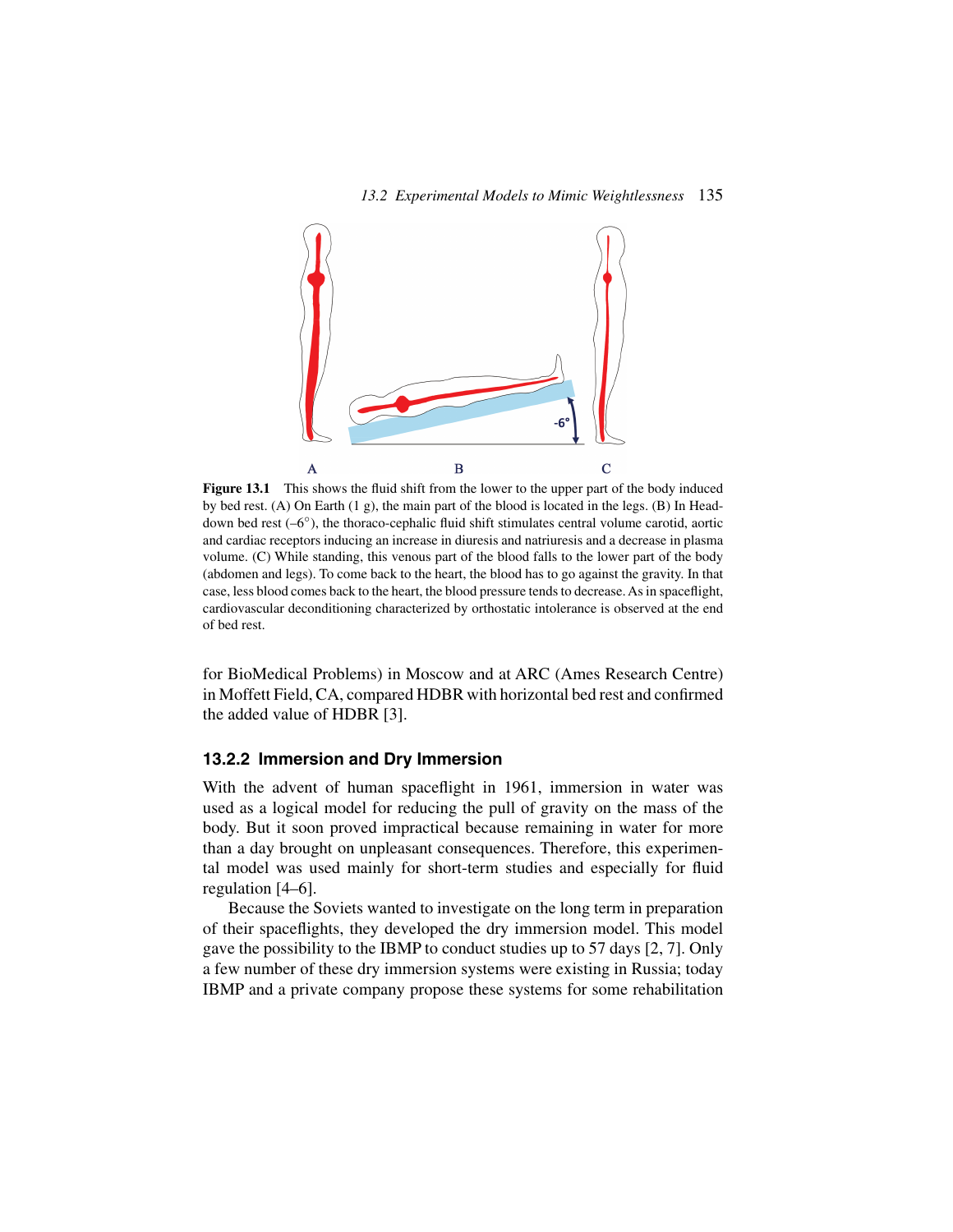

**Figure 13.1** This shows the fluid shift from the lower to the upper part of the body induced by bed rest. (A) On Earth (1 g), the main part of the blood is located in the legs. (B) In Headdown bed rest  $(-6°)$ , the thoraco-cephalic fluid shift stimulates central volume carotid, aortic and cardiac receptors inducing an increase in diuresis and natriuresis and a decrease in plasma volume. (C) While standing, this venous part of the blood falls to the lower part of the body (abdomen and legs). To come back to the heart, the blood has to go against the gravity. In that case, less blood comes back to the heart, the blood pressure tends to decrease. As in spaceflight, cardiovascular deconditioning characterized by orthostatic intolerance is observed at the end of bed rest.

for BioMedical Problems) in Moscow and at ARC (Ames Research Centre) in Moffett Field, CA, compared HDBR with horizontal bed rest and confirmed the added value of HDBR [3].

### **13.2.2 Immersion and Dry Immersion**

With the advent of human spaceflight in 1961, immersion in water was used as a logical model for reducing the pull of gravity on the mass of the body. But it soon proved impractical because remaining in water for more than a day brought on unpleasant consequences. Therefore, this experimental model was used mainly for short-term studies and especially for fluid regulation [4–6].

Because the Soviets wanted to investigate on the long term in preparation of their spaceflights, they developed the dry immersion model. This model gave the possibility to the IBMP to conduct studies up to 57 days [2, 7]. Only a few number of these dry immersion systems were existing in Russia; today IBMP and a private company propose these systems for some rehabilitation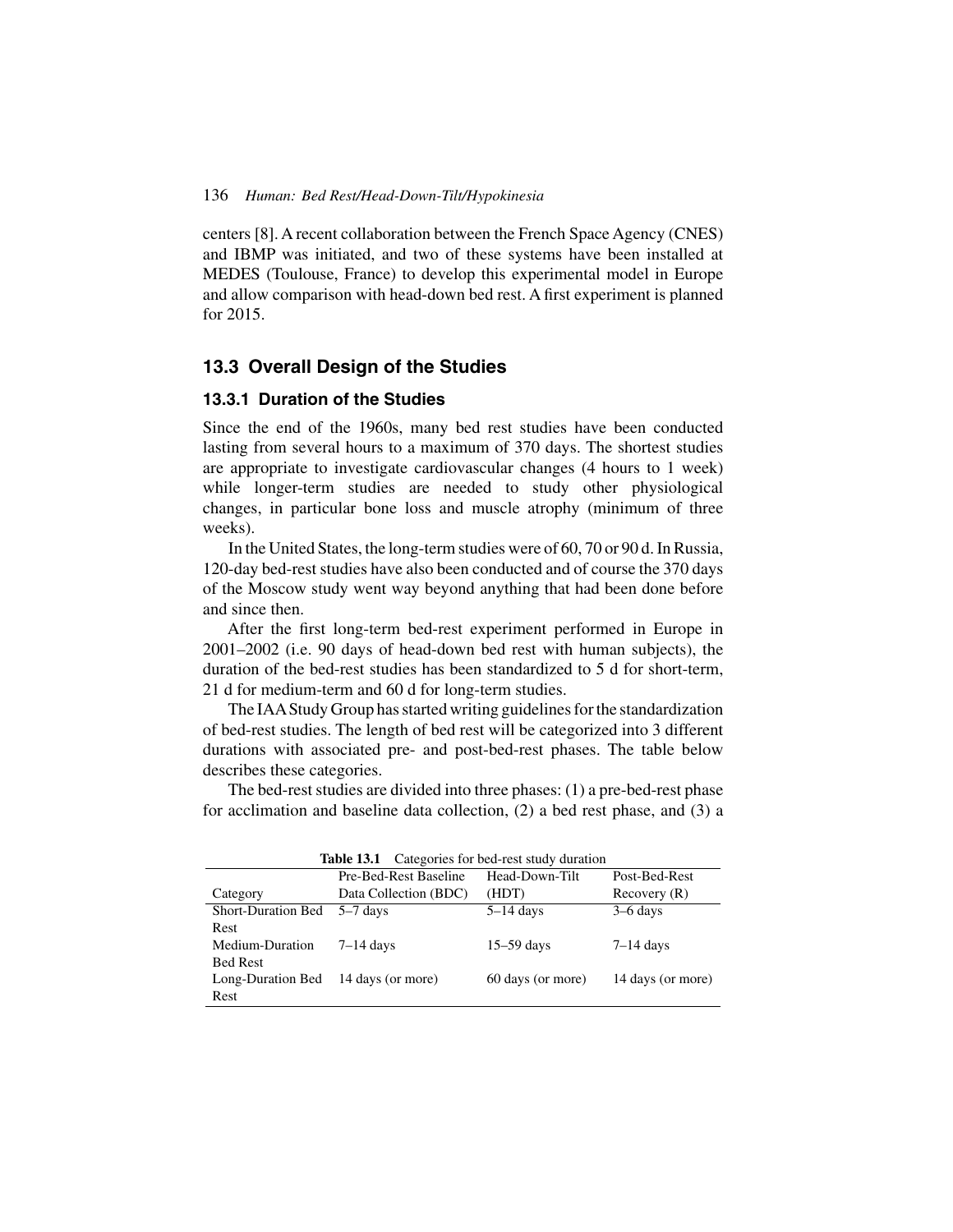centers [8]. A recent collaboration between the French Space Agency (CNES) and IBMP was initiated, and two of these systems have been installed at MEDES (Toulouse, France) to develop this experimental model in Europe and allow comparison with head-down bed rest. A first experiment is planned for 2015.

### **13.3 Overall Design of the Studies**

### **13.3.1 Duration of the Studies**

Since the end of the 1960s, many bed rest studies have been conducted lasting from several hours to a maximum of 370 days. The shortest studies are appropriate to investigate cardiovascular changes (4 hours to 1 week) while longer-term studies are needed to study other physiological changes, in particular bone loss and muscle atrophy (minimum of three weeks).

In the United States, the long-term studies were of 60, 70 or 90 d. In Russia, 120-day bed-rest studies have also been conducted and of course the 370 days of the Moscow study went way beyond anything that had been done before and since then.

After the first long-term bed-rest experiment performed in Europe in 2001–2002 (i.e. 90 days of head-down bed rest with human subjects), the duration of the bed-rest studies has been standardized to 5 d for short-term, 21 d for medium-term and 60 d for long-term studies.

The IAAStudy Group has started writing guidelines for the standardization of bed-rest studies. The length of bed rest will be categorized into 3 different durations with associated pre- and post-bed-rest phases. The table below describes these categories.

The bed-rest studies are divided into three phases: (1) a pre-bed-rest phase for acclimation and baseline data collection, (2) a bed rest phase, and (3) a

| <b>Table 13.1</b> Categories for bed-rest study duration |                       |                   |                   |
|----------------------------------------------------------|-----------------------|-------------------|-------------------|
|                                                          | Pre-Bed-Rest Baseline | Head-Down-Tilt    | Post-Bed-Rest     |
| Category                                                 | Data Collection (BDC) | (HDT)             | Recovery (R)      |
| <b>Short-Duration Bed</b>                                | $5-7$ days            | $5-14$ days       | $3-6$ days        |
| Rest                                                     |                       |                   |                   |
| Medium-Duration                                          | $7-14$ days           | $15-59$ days      | $7-14$ days       |
| <b>Bed Rest</b>                                          |                       |                   |                   |
| Long-Duration Bed                                        | 14 days (or more)     | 60 days (or more) | 14 days (or more) |
| Rest                                                     |                       |                   |                   |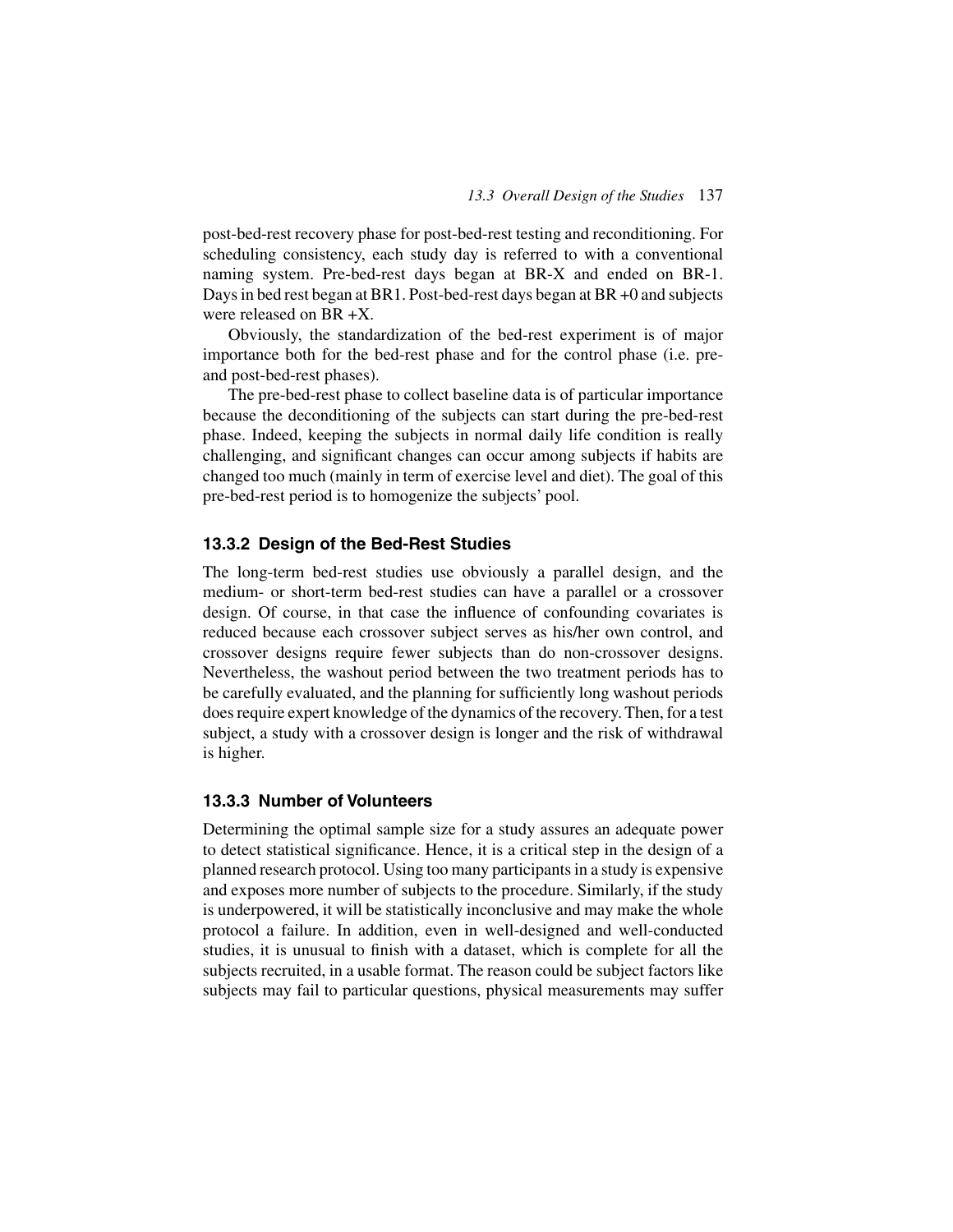post-bed-rest recovery phase for post-bed-rest testing and reconditioning. For scheduling consistency, each study day is referred to with a conventional naming system. Pre-bed-rest days began at BR-X and ended on BR-1. Days in bed rest began at BR1. Post-bed-rest days began at BR +0 and subjects were released on BR +X.

Obviously, the standardization of the bed-rest experiment is of major importance both for the bed-rest phase and for the control phase (i.e. preand post-bed-rest phases).

The pre-bed-rest phase to collect baseline data is of particular importance because the deconditioning of the subjects can start during the pre-bed-rest phase. Indeed, keeping the subjects in normal daily life condition is really challenging, and significant changes can occur among subjects if habits are changed too much (mainly in term of exercise level and diet). The goal of this pre-bed-rest period is to homogenize the subjects' pool.

### **13.3.2 Design of the Bed-Rest Studies**

The long-term bed-rest studies use obviously a parallel design, and the medium- or short-term bed-rest studies can have a parallel or a crossover design. Of course, in that case the influence of confounding covariates is reduced because each crossover subject serves as his/her own control, and crossover designs require fewer subjects than do non-crossover designs. Nevertheless, the washout period between the two treatment periods has to be carefully evaluated, and the planning for sufficiently long washout periods does require expert knowledge of the dynamics of the recovery. Then, for a test subject, a study with a crossover design is longer and the risk of withdrawal is higher.

### **13.3.3 Number of Volunteers**

Determining the optimal sample size for a study assures an adequate power to detect statistical significance. Hence, it is a critical step in the design of a planned research protocol. Using too many participants in a study is expensive and exposes more number of subjects to the procedure. Similarly, if the study is underpowered, it will be statistically inconclusive and may make the whole protocol a failure. In addition, even in well-designed and well-conducted studies, it is unusual to finish with a dataset, which is complete for all the subjects recruited, in a usable format. The reason could be subject factors like subjects may fail to particular questions, physical measurements may suffer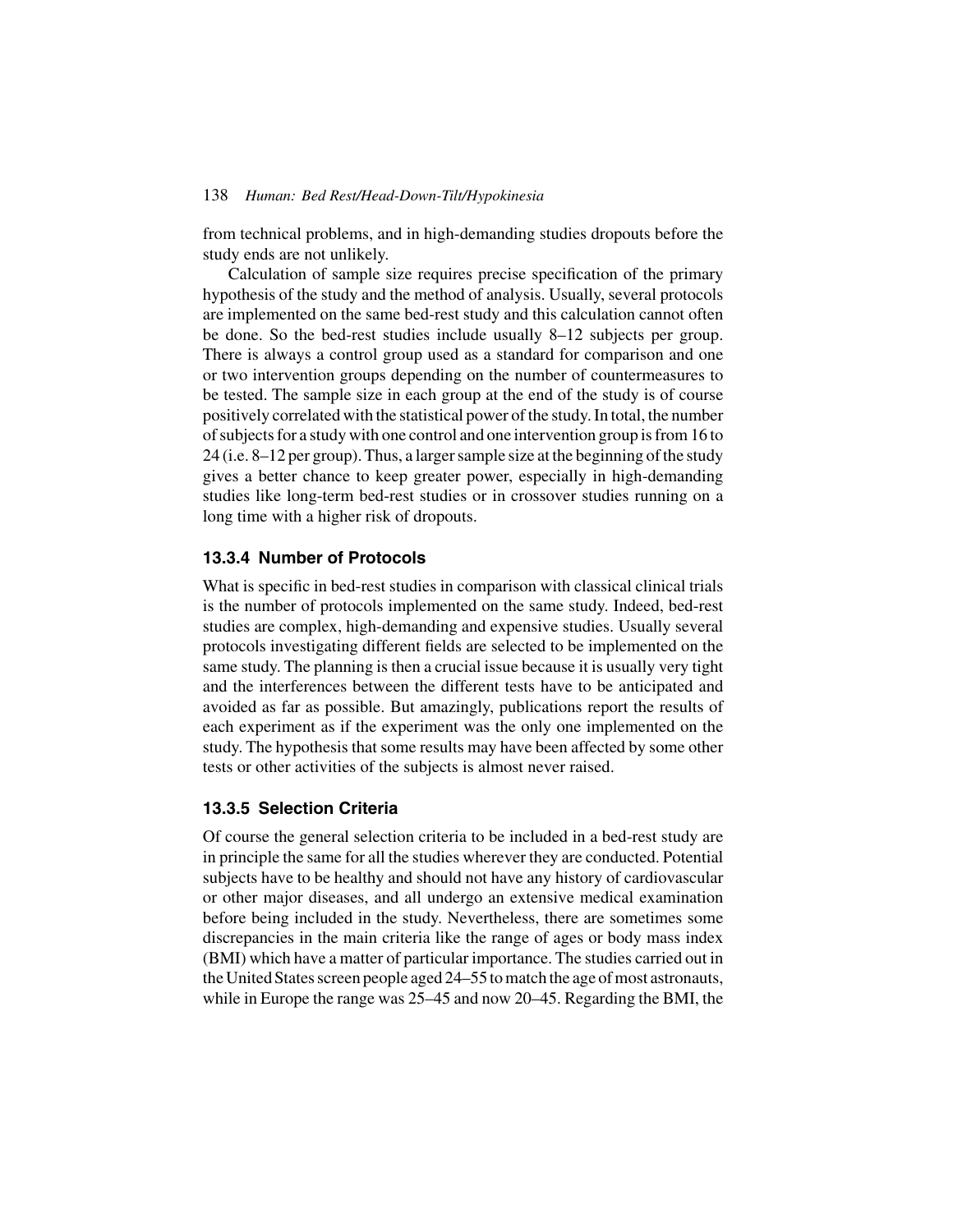#### 138 *Human: Bed Rest/Head-Down-Tilt/Hypokinesia*

from technical problems, and in high-demanding studies dropouts before the study ends are not unlikely.

Calculation of sample size requires precise specification of the primary hypothesis of the study and the method of analysis. Usually, several protocols are implemented on the same bed-rest study and this calculation cannot often be done. So the bed-rest studies include usually 8–12 subjects per group. There is always a control group used as a standard for comparison and one or two intervention groups depending on the number of countermeasures to be tested. The sample size in each group at the end of the study is of course positively correlated with the statistical power of the study. In total, the number of subjects for a study with one control and one intervention group is from 16 to 24 (i.e. 8–12 per group). Thus, a larger sample size at the beginning of the study gives a better chance to keep greater power, especially in high-demanding studies like long-term bed-rest studies or in crossover studies running on a long time with a higher risk of dropouts.

### **13.3.4 Number of Protocols**

What is specific in bed-rest studies in comparison with classical clinical trials is the number of protocols implemented on the same study. Indeed, bed-rest studies are complex, high-demanding and expensive studies. Usually several protocols investigating different fields are selected to be implemented on the same study. The planning is then a crucial issue because it is usually very tight and the interferences between the different tests have to be anticipated and avoided as far as possible. But amazingly, publications report the results of each experiment as if the experiment was the only one implemented on the study. The hypothesis that some results may have been affected by some other tests or other activities of the subjects is almost never raised.

### **13.3.5 Selection Criteria**

Of course the general selection criteria to be included in a bed-rest study are in principle the same for all the studies wherever they are conducted. Potential subjects have to be healthy and should not have any history of cardiovascular or other major diseases, and all undergo an extensive medical examination before being included in the study. Nevertheless, there are sometimes some discrepancies in the main criteria like the range of ages or body mass index (BMI) which have a matter of particular importance. The studies carried out in the United States screen people aged 24–55 to match the age of most astronauts, while in Europe the range was 25–45 and now 20–45. Regarding the BMI, the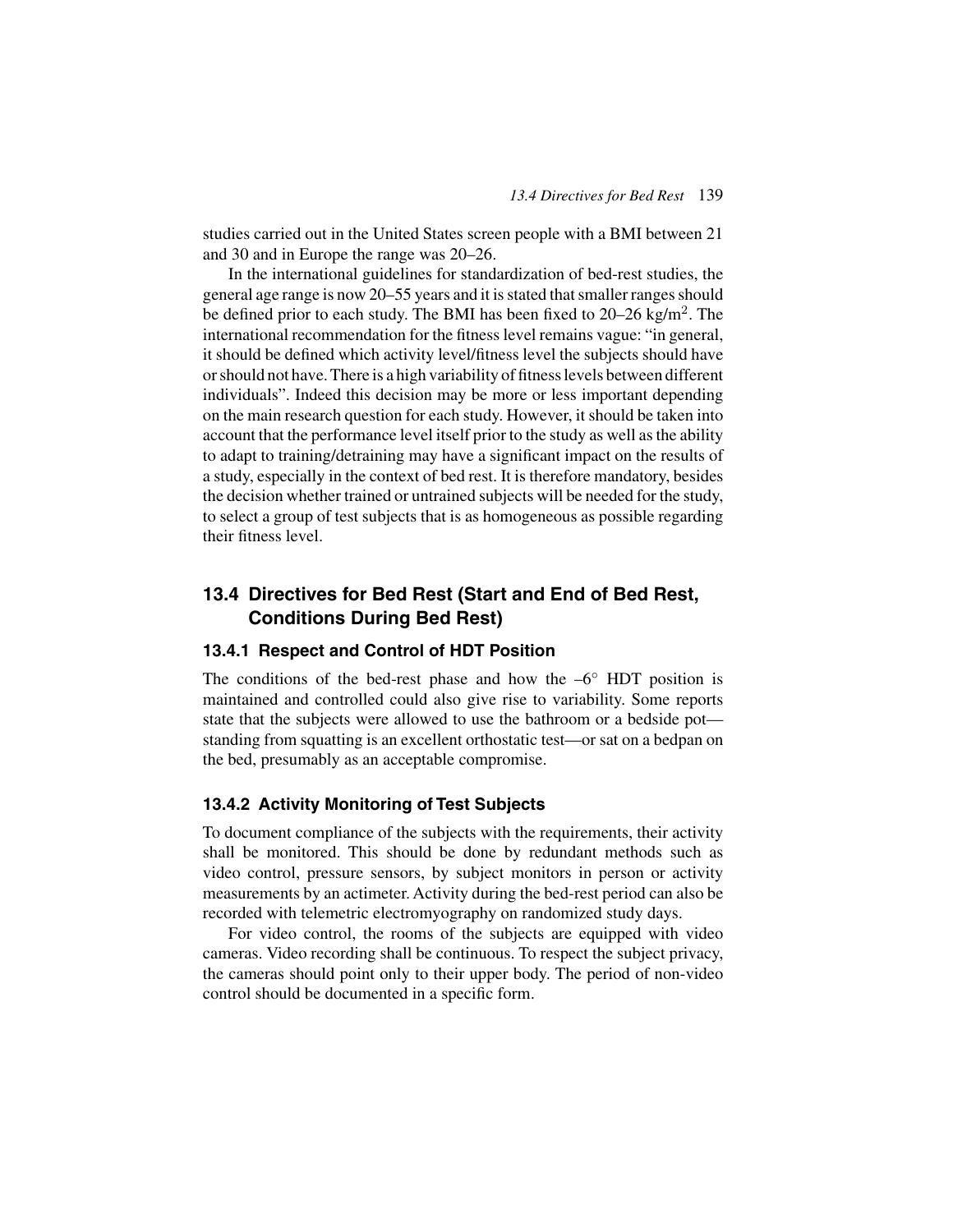studies carried out in the United States screen people with a BMI between 21 and 30 and in Europe the range was 20–26.

In the international guidelines for standardization of bed-rest studies, the general age range is now 20–55 years and it is stated that smaller ranges should be defined prior to each study. The BMI has been fixed to  $20-26$  kg/m<sup>2</sup>. The international recommendation for the fitness level remains vague: "in general, it should be defined which activity level/fitness level the subjects should have or should not have. There is a high variability of fitness levels between different individuals". Indeed this decision may be more or less important depending on the main research question for each study. However, it should be taken into account that the performance level itself prior to the study as well as the ability to adapt to training/detraining may have a significant impact on the results of a study, especially in the context of bed rest. It is therefore mandatory, besides the decision whether trained or untrained subjects will be needed for the study, to select a group of test subjects that is as homogeneous as possible regarding their fitness level.

### **13.4 Directives for Bed Rest (Start and End of Bed Rest, Conditions During Bed Rest)**

### **13.4.1 Respect and Control of HDT Position**

The conditions of the bed-rest phase and how the  $-6°$  HDT position is maintained and controlled could also give rise to variability. Some reports state that the subjects were allowed to use the bathroom or a bedside pot standing from squatting is an excellent orthostatic test—or sat on a bedpan on the bed, presumably as an acceptable compromise.

### **13.4.2 Activity Monitoring of Test Subjects**

To document compliance of the subjects with the requirements, their activity shall be monitored. This should be done by redundant methods such as video control, pressure sensors, by subject monitors in person or activity measurements by an actimeter. Activity during the bed-rest period can also be recorded with telemetric electromyography on randomized study days.

For video control, the rooms of the subjects are equipped with video cameras. Video recording shall be continuous. To respect the subject privacy, the cameras should point only to their upper body. The period of non-video control should be documented in a specific form.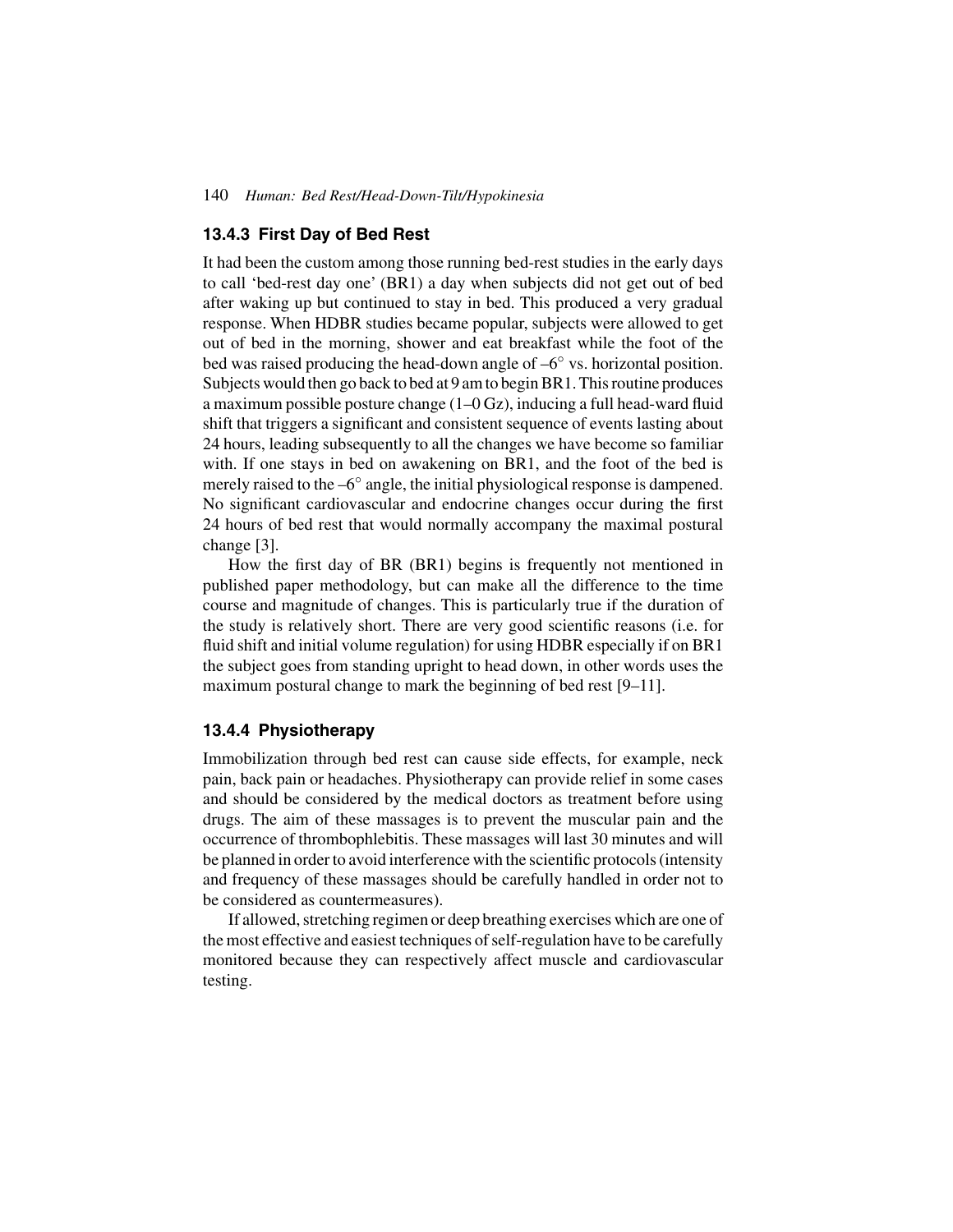### **13.4.3 First Day of Bed Rest**

It had been the custom among those running bed-rest studies in the early days to call 'bed-rest day one' (BR1) a day when subjects did not get out of bed after waking up but continued to stay in bed. This produced a very gradual response. When HDBR studies became popular, subjects were allowed to get out of bed in the morning, shower and eat breakfast while the foot of the bed was raised producing the head-down angle of  $-6°$  vs. horizontal position. Subjects would then go back to bed at 9 am to begin BR1. This routine produces a maximum possible posture change (1–0 Gz), inducing a full head-ward fluid shift that triggers a significant and consistent sequence of events lasting about 24 hours, leading subsequently to all the changes we have become so familiar with. If one stays in bed on awakening on BR1, and the foot of the bed is merely raised to the  $-6°$  angle, the initial physiological response is dampened. No significant cardiovascular and endocrine changes occur during the first 24 hours of bed rest that would normally accompany the maximal postural change [3].

How the first day of BR (BR1) begins is frequently not mentioned in published paper methodology, but can make all the difference to the time course and magnitude of changes. This is particularly true if the duration of the study is relatively short. There are very good scientific reasons (i.e. for fluid shift and initial volume regulation) for using HDBR especially if on BR1 the subject goes from standing upright to head down, in other words uses the maximum postural change to mark the beginning of bed rest [9–11].

### **13.4.4 Physiotherapy**

Immobilization through bed rest can cause side effects, for example, neck pain, back pain or headaches. Physiotherapy can provide relief in some cases and should be considered by the medical doctors as treatment before using drugs. The aim of these massages is to prevent the muscular pain and the occurrence of thrombophlebitis. These massages will last 30 minutes and will be planned in order to avoid interference with the scientific protocols (intensity and frequency of these massages should be carefully handled in order not to be considered as countermeasures).

If allowed, stretching regimen or deep breathing exercises which are one of the most effective and easiest techniques of self-regulation have to be carefully monitored because they can respectively affect muscle and cardiovascular testing.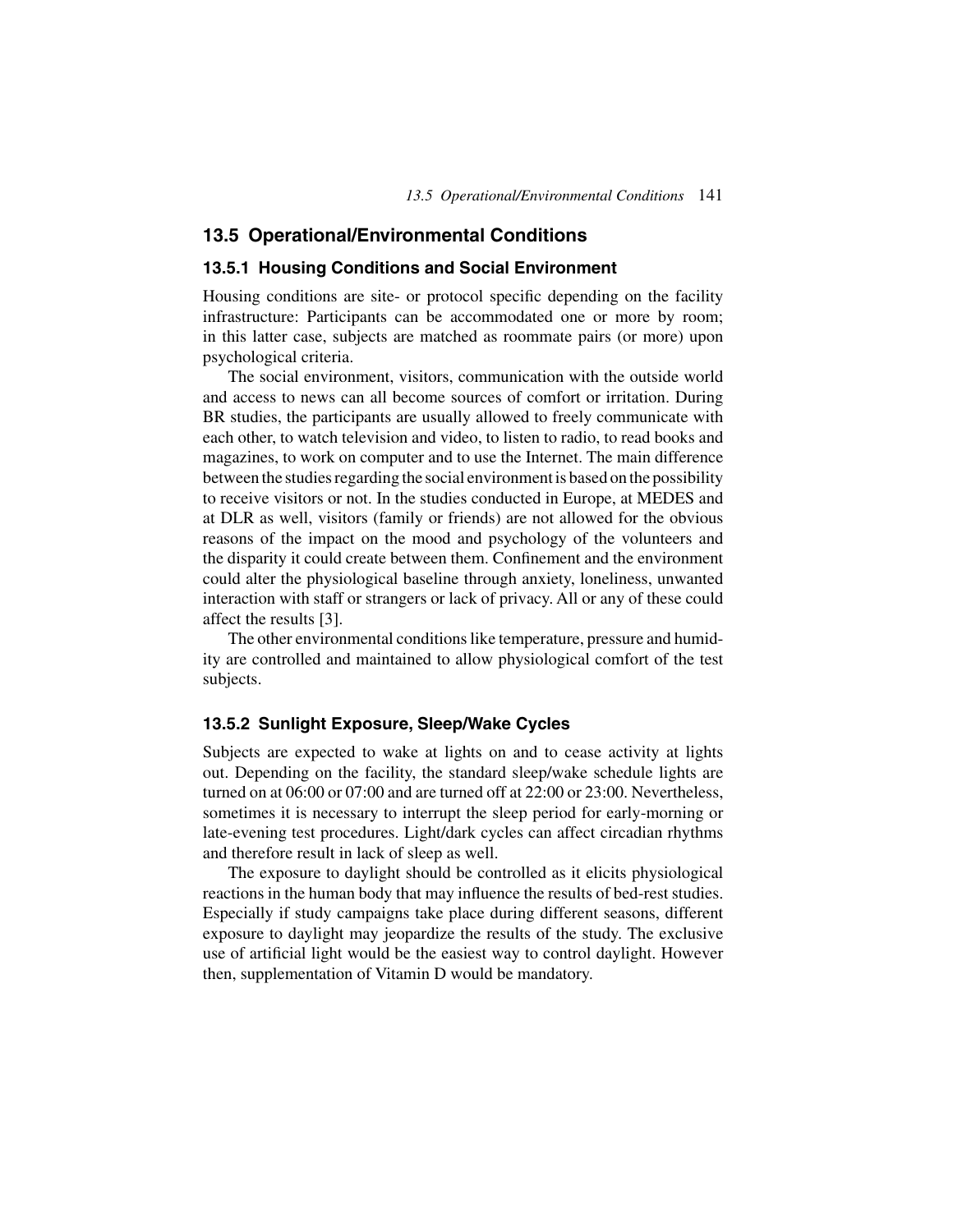### **13.5 Operational/Environmental Conditions**

### **13.5.1 Housing Conditions and Social Environment**

Housing conditions are site- or protocol specific depending on the facility infrastructure: Participants can be accommodated one or more by room; in this latter case, subjects are matched as roommate pairs (or more) upon psychological criteria.

The social environment, visitors, communication with the outside world and access to news can all become sources of comfort or irritation. During BR studies, the participants are usually allowed to freely communicate with each other, to watch television and video, to listen to radio, to read books and magazines, to work on computer and to use the Internet. The main difference between the studies regarding the social environment is based on the possibility to receive visitors or not. In the studies conducted in Europe, at MEDES and at DLR as well, visitors (family or friends) are not allowed for the obvious reasons of the impact on the mood and psychology of the volunteers and the disparity it could create between them. Confinement and the environment could alter the physiological baseline through anxiety, loneliness, unwanted interaction with staff or strangers or lack of privacy. All or any of these could affect the results [3].

The other environmental conditions like temperature, pressure and humidity are controlled and maintained to allow physiological comfort of the test subjects.

### **13.5.2 Sunlight Exposure, Sleep/Wake Cycles**

Subjects are expected to wake at lights on and to cease activity at lights out. Depending on the facility, the standard sleep/wake schedule lights are turned on at 06:00 or 07:00 and are turned off at 22:00 or 23:00. Nevertheless, sometimes it is necessary to interrupt the sleep period for early-morning or late-evening test procedures. Light/dark cycles can affect circadian rhythms and therefore result in lack of sleep as well.

The exposure to daylight should be controlled as it elicits physiological reactions in the human body that may influence the results of bed-rest studies. Especially if study campaigns take place during different seasons, different exposure to daylight may jeopardize the results of the study. The exclusive use of artificial light would be the easiest way to control daylight. However then, supplementation of Vitamin D would be mandatory.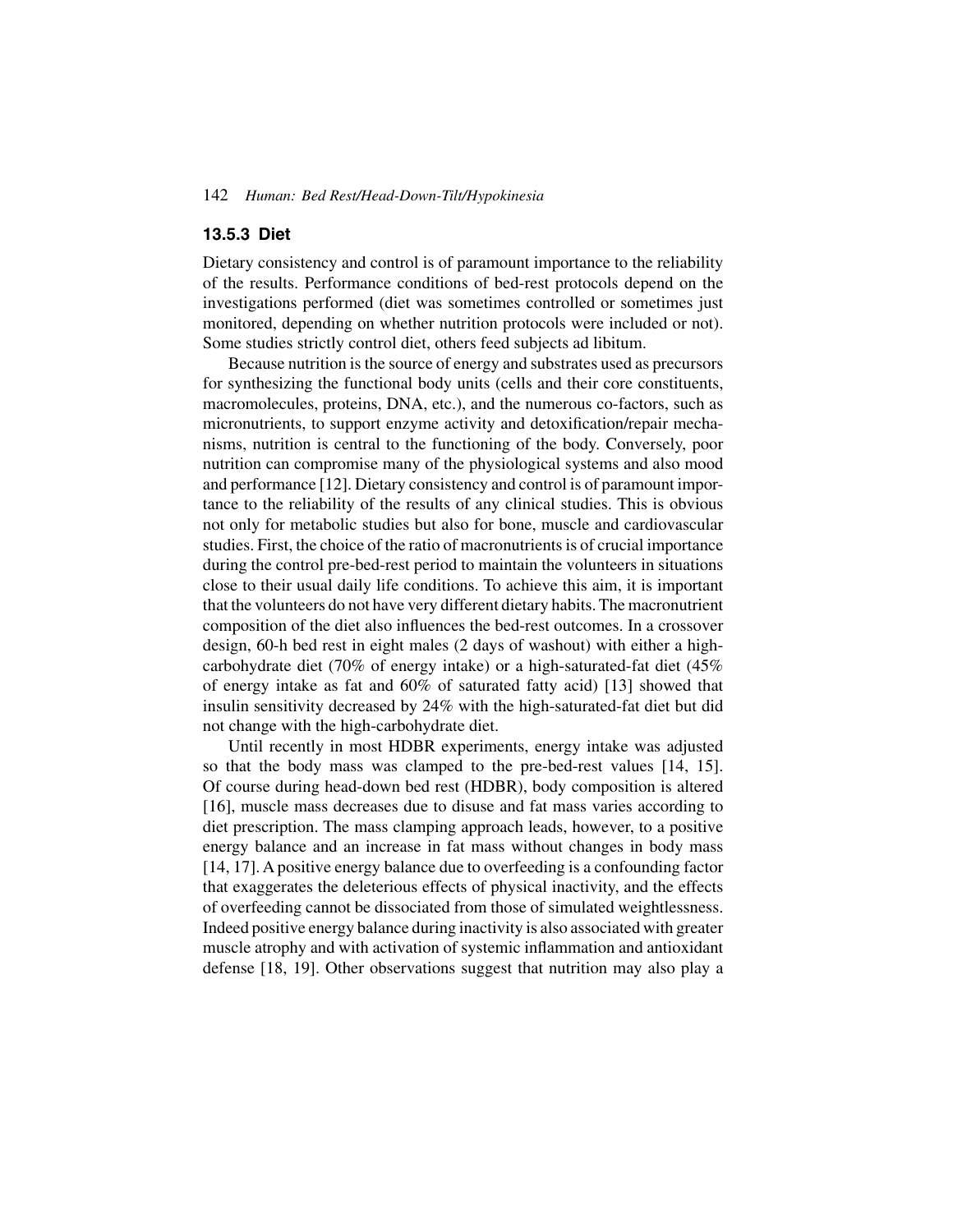#### 142 *Human: Bed Rest/Head-Down-Tilt/Hypokinesia*

### **13.5.3 Diet**

Dietary consistency and control is of paramount importance to the reliability of the results. Performance conditions of bed-rest protocols depend on the investigations performed (diet was sometimes controlled or sometimes just monitored, depending on whether nutrition protocols were included or not). Some studies strictly control diet, others feed subjects ad libitum.

Because nutrition is the source of energy and substrates used as precursors for synthesizing the functional body units (cells and their core constituents, macromolecules, proteins, DNA, etc.), and the numerous co-factors, such as micronutrients, to support enzyme activity and detoxification/repair mechanisms, nutrition is central to the functioning of the body. Conversely, poor nutrition can compromise many of the physiological systems and also mood and performance [12]. Dietary consistency and control is of paramount importance to the reliability of the results of any clinical studies. This is obvious not only for metabolic studies but also for bone, muscle and cardiovascular studies. First, the choice of the ratio of macronutrients is of crucial importance during the control pre-bed-rest period to maintain the volunteers in situations close to their usual daily life conditions. To achieve this aim, it is important that the volunteers do not have very different dietary habits. The macronutrient composition of the diet also influences the bed-rest outcomes. In a crossover design, 60-h bed rest in eight males (2 days of washout) with either a highcarbohydrate diet (70% of energy intake) or a high-saturated-fat diet (45% of energy intake as fat and 60% of saturated fatty acid) [13] showed that insulin sensitivity decreased by 24% with the high-saturated-fat diet but did not change with the high-carbohydrate diet.

Until recently in most HDBR experiments, energy intake was adjusted so that the body mass was clamped to the pre-bed-rest values [14, 15]. Of course during head-down bed rest (HDBR), body composition is altered [16], muscle mass decreases due to disuse and fat mass varies according to diet prescription. The mass clamping approach leads, however, to a positive energy balance and an increase in fat mass without changes in body mass [14, 17]. A positive energy balance due to overfeeding is a confounding factor that exaggerates the deleterious effects of physical inactivity, and the effects of overfeeding cannot be dissociated from those of simulated weightlessness. Indeed positive energy balance during inactivity is also associated with greater muscle atrophy and with activation of systemic inflammation and antioxidant defense [18, 19]. Other observations suggest that nutrition may also play a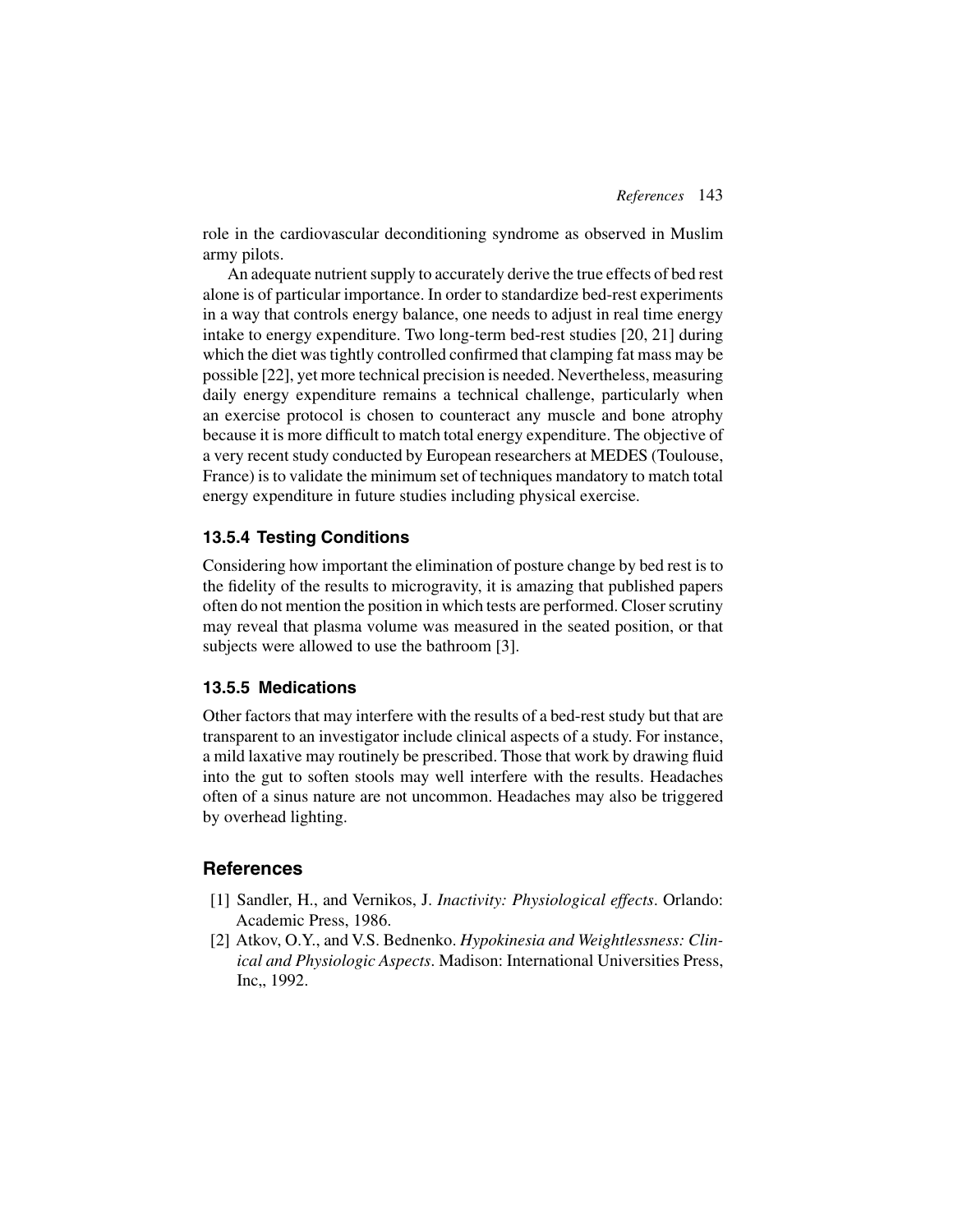role in the cardiovascular deconditioning syndrome as observed in Muslim army pilots.

An adequate nutrient supply to accurately derive the true effects of bed rest alone is of particular importance. In order to standardize bed-rest experiments in a way that controls energy balance, one needs to adjust in real time energy intake to energy expenditure. Two long-term bed-rest studies [20, 21] during which the diet was tightly controlled confirmed that clamping fat mass may be possible [22], yet more technical precision is needed. Nevertheless, measuring daily energy expenditure remains a technical challenge, particularly when an exercise protocol is chosen to counteract any muscle and bone atrophy because it is more difficult to match total energy expenditure. The objective of a very recent study conducted by European researchers at MEDES (Toulouse, France) is to validate the minimum set of techniques mandatory to match total energy expenditure in future studies including physical exercise.

### **13.5.4 Testing Conditions**

Considering how important the elimination of posture change by bed rest is to the fidelity of the results to microgravity, it is amazing that published papers often do not mention the position in which tests are performed. Closer scrutiny may reveal that plasma volume was measured in the seated position, or that subjects were allowed to use the bathroom [3].

### **13.5.5 Medications**

Other factors that may interfere with the results of a bed-rest study but that are transparent to an investigator include clinical aspects of a study. For instance, a mild laxative may routinely be prescribed. Those that work by drawing fluid into the gut to soften stools may well interfere with the results. Headaches often of a sinus nature are not uncommon. Headaches may also be triggered by overhead lighting.

### **References**

- [1] Sandler, H., and Vernikos, J. *Inactivity: Physiological effects*. Orlando: Academic Press, 1986.
- [2] Atkov, O.Y., and V.S. Bednenko. *Hypokinesia and Weightlessness: Clinical and Physiologic Aspects*. Madison: International Universities Press, Inc., 1992.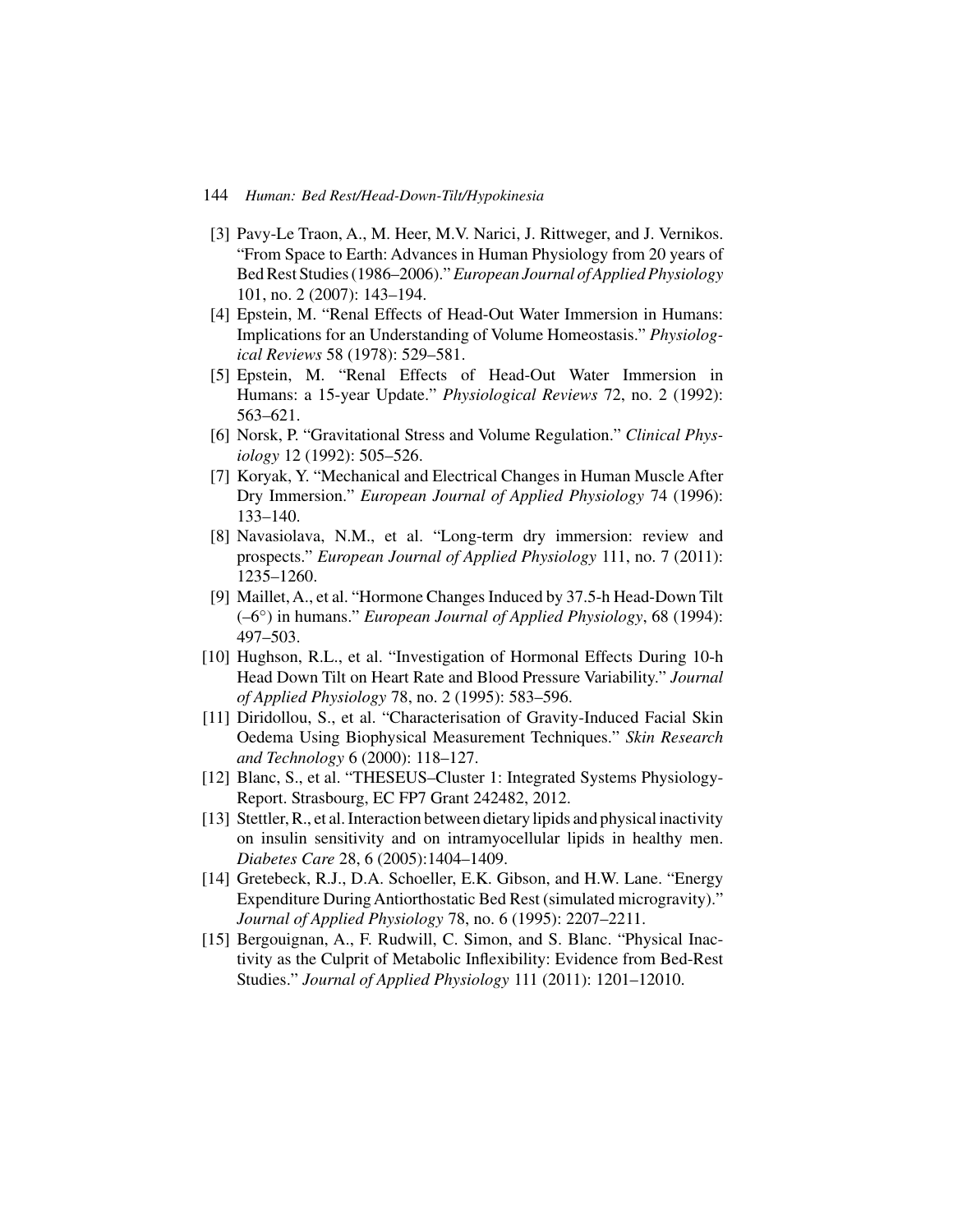- [3] Pavy-Le Traon, A., M. Heer, M.V. Narici, J. Rittweger, and J. Vernikos. "From Space to Earth: Advances in Human Physiology from 20 years of Bed Rest Studies (1986–2006)."*European Journal of Applied Physiology* 101, no. 2 (2007): 143–194.
- [4] Epstein, M. "Renal Effects of Head-Out Water Immersion in Humans: Implications for an Understanding of Volume Homeostasis." *Physiological Reviews* 58 (1978): 529–581.
- [5] Epstein, M. "Renal Effects of Head-Out Water Immersion in Humans: a 15-year Update." *Physiological Reviews* 72, no. 2 (1992): 563–621.
- [6] Norsk, P. "Gravitational Stress and Volume Regulation." *Clinical Physiology* 12 (1992): 505–526.
- [7] Koryak, Y. "Mechanical and Electrical Changes in Human Muscle After Dry Immersion." *European Journal of Applied Physiology* 74 (1996): 133–140.
- [8] Navasiolava, N.M., et al. "Long-term dry immersion: review and prospects." *European Journal of Applied Physiology* 111, no. 7 (2011): 1235–1260.
- [9] Maillet, A., et al. "Hormone Changes Induced by 37.5-h Head-Down Tilt (–6◦) in humans." *European Journal of Applied Physiology*, 68 (1994): 497–503.
- [10] Hughson, R.L., et al. "Investigation of Hormonal Effects During 10-h Head Down Tilt on Heart Rate and Blood Pressure Variability." *Journal of Applied Physiology* 78, no. 2 (1995): 583–596.
- [11] Diridollou, S., et al. "Characterisation of Gravity-Induced Facial Skin Oedema Using Biophysical Measurement Techniques." *Skin Research and Technology* 6 (2000): 118–127.
- [12] Blanc, S., et al. "THESEUS-Cluster 1: Integrated Systems Physiology-Report. Strasbourg, EC FP7 Grant 242482, 2012.
- [13] Stettler, R., et al. Interaction between dietary lipids and physical inactivity on insulin sensitivity and on intramyocellular lipids in healthy men. *Diabetes Care* 28, 6 (2005):1404–1409.
- [14] Gretebeck, R.J., D.A. Schoeller, E.K. Gibson, and H.W. Lane. "Energy Expenditure During Antiorthostatic Bed Rest (simulated microgravity)." *Journal of Applied Physiology* 78, no. 6 (1995): 2207–2211.
- [15] Bergouignan, A., F. Rudwill, C. Simon, and S. Blanc. "Physical Inactivity as the Culprit of Metabolic Inflexibility: Evidence from Bed-Rest Studies." *Journal of Applied Physiology* 111 (2011): 1201–12010.